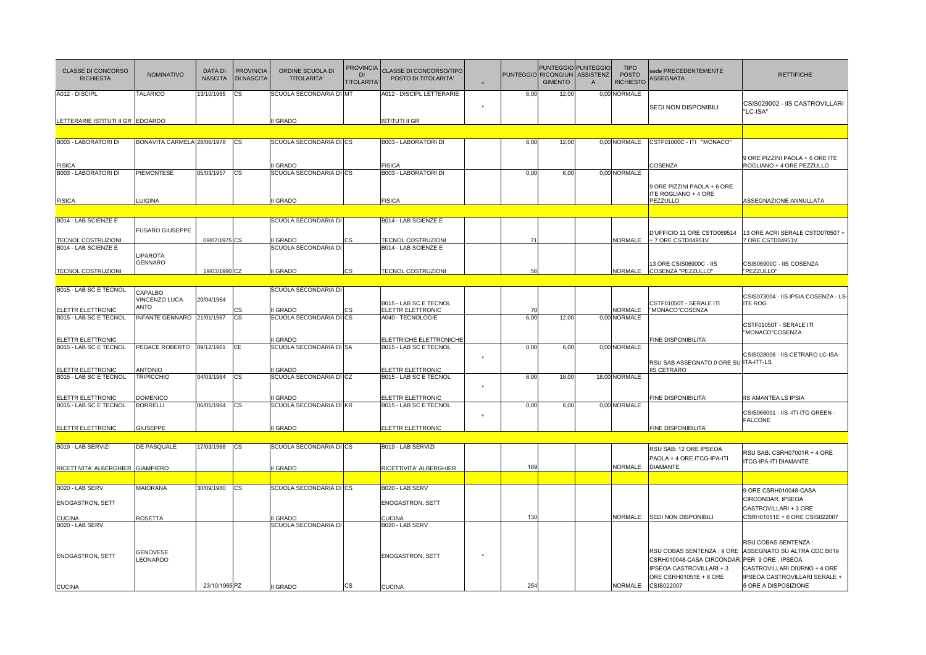| CLASSE DI CONCORSO<br><b>RICHIESTA</b>              | <b>NOMINATIVO</b>                   | <b>DATA DI</b><br><b>NASCITA</b> | <b>PROVINCIA</b><br><b>DI NASCITA</b> | ORDINE SCUOLA DI<br><b>TITOLARITA</b>   | <b>PROVINCIA</b><br>D <sub>l</sub><br><b>TITOLARITA</b> | CLASSE DI CONCORSO/TIPO<br>POSTO DI TITOLARITA'   |         | <b>PUNTEGGIO</b> | <b>RICONGIUN</b><br><b>GIMENTO</b> | PUNTEGGIO PUNTEGGIO<br><b>ASSISTENZ</b><br>$\mathsf{A}$ | <b>TIPO</b><br><b>POSTO</b><br><b>RICHIESTO</b> | sede PRECEDENTEMENTE<br><b>ASSEGNATA</b>                                                                                                       | <b>RETTIFICHE</b>                                                                                                                            |
|-----------------------------------------------------|-------------------------------------|----------------------------------|---------------------------------------|-----------------------------------------|---------------------------------------------------------|---------------------------------------------------|---------|------------------|------------------------------------|---------------------------------------------------------|-------------------------------------------------|------------------------------------------------------------------------------------------------------------------------------------------------|----------------------------------------------------------------------------------------------------------------------------------------------|
| A012 - DISCIPL<br>LETTERARIE ISTITUTI II GR EDOARDO | TALARICO                            | 3/10/1965                        | СS                                    | SCUOLA SECONDARIA DI MT<br><b>GRADO</b> |                                                         | A012 - DISCIPL LETTERARIE<br>ISTITUTI II GR       |         | 6,00             | 12,00                              |                                                         | 0,00 NORMALE                                    | SEDI NON DISPONIBILI                                                                                                                           | CSIS029002 - IIS CASTROVILLARI<br>"LC-ISA"                                                                                                   |
|                                                     |                                     |                                  |                                       |                                         |                                                         |                                                   |         |                  |                                    |                                                         |                                                 |                                                                                                                                                |                                                                                                                                              |
| B003 - LABORATORI DI                                | BONAVITA CARMELA 28/06/1978         |                                  | <b>CS</b>                             | SCUOLA SECONDARIA DI CS                 |                                                         | B003 - LABORATORI DI                              |         | 6,00             | 12,00                              |                                                         | 0,00 NORMALE                                    | CSTF01000C - ITI "MONACO"                                                                                                                      |                                                                                                                                              |
| <b>FISICA</b>                                       |                                     |                                  |                                       | <b>GRADO</b>                            |                                                         | <b>FISICA</b>                                     |         |                  |                                    |                                                         |                                                 | COSENZA                                                                                                                                        | 9 ORE PIZZINI PAOLA + 6 ORE ITE<br>ROGLIANO + 4 ORE PEZZULLO                                                                                 |
| B003 - LABORATORI DI                                | PIEMONTESE                          | 05/03/1957                       | СS                                    | SCUOLA SECONDARIA DI CS                 |                                                         | <b>B003 - LABORATORI DI</b>                       |         | 0,00             | 6,00                               |                                                         | 0,00 NORMALE                                    |                                                                                                                                                |                                                                                                                                              |
| <b>FISICA</b>                                       | <b>UIGINA</b>                       |                                  |                                       | I GRADO                                 |                                                         | <b>FISICA</b>                                     |         |                  |                                    |                                                         |                                                 | 9 ORE PIZZINI PAOLA + 6 ORE<br>ITE ROGLIANO + 4 ORE<br>PEZZULLO                                                                                | ASSEGNAZIONE ANNULLATA                                                                                                                       |
|                                                     |                                     |                                  |                                       |                                         |                                                         |                                                   |         |                  |                                    |                                                         |                                                 |                                                                                                                                                |                                                                                                                                              |
| B014 - LAB SCIENZE E                                |                                     |                                  |                                       | SCUOLA SECONDARIA DI                    |                                                         | B014 - LAB SCIENZE E                              |         |                  |                                    |                                                         |                                                 |                                                                                                                                                |                                                                                                                                              |
| TECNOL COSTRUZIONI                                  | <b>USARO GIUSEPPE</b>               | 09/07/1975 CS                    |                                       | <b>GRADO</b>                            |                                                         | TECNOL COSTRUZIONI                                |         | 71               |                                    |                                                         | NORMALE                                         | D'UFFICIO 11 ORE CSTD069514<br>+ 7 ORE CSTD04951V                                                                                              | 13 ORE ACRI SERALE CSTD070507 +<br>7 ORE CSTD04951V                                                                                          |
| B014 - LAB SCIENZE E                                | LIPAROTA                            |                                  |                                       | SCUOLA SECONDARIA DI                    |                                                         | B014 - LAB SCIENZE E                              |         |                  |                                    |                                                         |                                                 |                                                                                                                                                |                                                                                                                                              |
| TECNOL COSTRUZIONI                                  | <b>GENNARO</b>                      | 19/03/1990 CZ                    |                                       | I GRADO                                 | <b>CS</b>                                               | TECNOL COSTRUZIONI                                |         | 58               |                                    |                                                         | NORMALE                                         | 13 ORE CSIS06900C - IIS<br>COSENZA "PEZZULLO"                                                                                                  | CSIS06900C - IIS COSENZA<br>"PEZZULLO"                                                                                                       |
|                                                     |                                     |                                  |                                       |                                         |                                                         |                                                   |         |                  |                                    |                                                         |                                                 |                                                                                                                                                |                                                                                                                                              |
| B015 - LAB SC E TECNOL<br>ELETTR ELETTRONIC         | CAPALBO<br>VINCENZO LUCA<br>ANTO    | 20/04/1964                       | ς.                                    | SCUOLA SECONDARIA DI<br><b>GRADO</b>    |                                                         | B015 - LAB SC E TECNOL<br>ELETTR ELETTRONIC       |         | $\overline{7}$   |                                    |                                                         | NORMALE                                         | CSTF01050T - SERALE ITI<br>"MONACO"COSENZA                                                                                                     | CSIS073004 - IIS IPSIA COSENZA - LS-<br><b>ITE ROG</b>                                                                                       |
| B015 - LAB SC E TECNOL                              | INFANTE GENNARO 21/01/1967          |                                  | CS                                    | SCUOLA SECONDARIA DI CS                 |                                                         | A040 - TECNOLOGIE                                 |         | 6,00             | 12,00                              |                                                         | 0,00 NORMALE                                    |                                                                                                                                                | CSTF01050T - SERALE ITI<br>"MONACO"COSENZA                                                                                                   |
| ELETTR ELETTRONIC                                   |                                     |                                  |                                       | <b>GRADO</b>                            |                                                         | <b>ELETTRICHE ELETTRONICHE</b>                    |         |                  |                                    |                                                         |                                                 | FINE DISPONIBILITA'                                                                                                                            |                                                                                                                                              |
| B015 - LAB SC E TECNOL                              | PEDACE ROBERTO                      | 09/12/1961                       | EE.                                   | SCUOLA SECONDARIA DI SA                 |                                                         | B015 - LAB SC E TECNOL                            | $\star$ | 0,00             | 6.00                               |                                                         | 0.00 NORMALE                                    | RSU SAB ASSEGNATO 0 ORE SU ITA-ITT-LS                                                                                                          | CSIS028006 - IIS CETRARO LC-ISA-                                                                                                             |
| ELETTR ELETTRONIC<br>B015 - LAB SC E TECNOL         | <b>INTONIO</b><br><b>TRIPICCHIO</b> | 04/03/1964                       | <b>CS</b>                             | <b>GRADO</b><br>SCUOLA SECONDARIA DI CZ |                                                         | <b>LETTR ELETTRONIC</b><br>B015 - LAB SC E TECNOL |         | 6,00             | 18,00                              |                                                         | 18,00 NORMALE                                   | <b>IIS CETRARO</b>                                                                                                                             |                                                                                                                                              |
|                                                     |                                     |                                  |                                       |                                         |                                                         |                                                   |         |                  |                                    |                                                         |                                                 |                                                                                                                                                |                                                                                                                                              |
| ELETTR ELETTRONIC                                   | <b>DOMENICO</b>                     |                                  |                                       | <b>GRADO</b>                            |                                                         | <b>ELETTR ELETTRONIC</b>                          |         |                  |                                    |                                                         |                                                 | FINE DISPONIBILITA'                                                                                                                            | IIS AMANTEA LS IPSIA                                                                                                                         |
| B015 - LAB SC E TECNOL                              | <b>BORRELLI</b>                     | 06/05/1964                       | <b>CS</b>                             | SCUOLA SECONDARIA DI KR                 |                                                         | B015 - LAB SC E TECNOL                            |         | 0,00             | 6,00                               |                                                         | 0,00 NORMALE                                    |                                                                                                                                                | CSIS066001 - IIS -ITI-ITG GREEN -<br><b>FALCONE</b>                                                                                          |
| ELETTR ELETTRONIC                                   | <b>GIUSEPPE</b>                     |                                  |                                       | I GRADO                                 |                                                         | ELETTR ELETTRONIC                                 |         |                  |                                    |                                                         |                                                 | FINE DISPONIBILITA'                                                                                                                            |                                                                                                                                              |
| B019 - LAB SERVIZI                                  | <b>DE PASQUALE</b>                  | 17/03/1968                       | <b>CS</b>                             | SCUOLA SECONDARIA DI CS                 |                                                         | B019 - LAB SERVIZI                                |         |                  |                                    |                                                         |                                                 | RSU SAB: 12 ORE IPSEOA                                                                                                                         |                                                                                                                                              |
| RICETTIVITA' ALBERGHIER GIAMPIERO                   |                                     |                                  |                                       | <b>GRADO</b>                            |                                                         | RICETTIVITA' ALBERGHIER                           |         | 189              |                                    |                                                         | NORMALE                                         | PAOLA + 4 ORE ITCG-IPA-ITI<br><b>DIAMANTE</b>                                                                                                  | RSU SAB: CSRH07001R + 4 ORE<br><b>ITCG-IPA-ITI DIAMANTE</b>                                                                                  |
|                                                     |                                     |                                  |                                       |                                         |                                                         |                                                   |         |                  |                                    |                                                         |                                                 |                                                                                                                                                |                                                                                                                                              |
| B020 - LAB SERV                                     | <b>MAIORANA</b>                     | 30/09/1980                       | СS                                    | SCUOLA SECONDARIA DI CS                 |                                                         | B020 - LAB SERV                                   |         |                  |                                    |                                                         |                                                 |                                                                                                                                                | 9 ORE CSRH010048-CASA                                                                                                                        |
| <b>ENOGASTRON, SETT</b>                             |                                     |                                  |                                       |                                         |                                                         | <b>ENOGASTRON, SETT</b>                           |         |                  |                                    |                                                         | NORMALE                                         | SEDI NON DISPONIBILI                                                                                                                           | CIRCONDAR. IPSEOA<br>CASTROVILLARI + 3 ORE                                                                                                   |
| <b>CUCINA</b><br>B020 - LAB SERV                    | ROSETTA                             |                                  |                                       | <b>GRADO</b><br>SCUOLA SECONDARIA DI    |                                                         | CUCINA<br>B020 - LAB SERV                         |         | 130              |                                    |                                                         |                                                 |                                                                                                                                                | CSRH01051E + 6 ORE CSIS022007                                                                                                                |
| <b>ENOGASTRON, SETT</b>                             | <b>GENOVESE</b><br>LEONARDO         | 23/10/1965 PZ                    |                                       |                                         | CS                                                      | <b>ENOGASTRON, SETT</b>                           |         | 254              |                                    |                                                         | NORMALE                                         | RSU COBAS SENTENZA: 9 ORE<br>CSRH010048-CASA CIRCONDAR. PER 9 ORE . IPSEOA<br>IPSEOA CASTROVILLARI + 3<br>ORE CSRH01051E + 6 ORE<br>CSIS022007 | RSU COBAS SENTENZA :<br>ASSEGNATO SU ALTRA CDC B019<br>CASTROVILLARI DIURNO + 4 ORE<br>IPSEOA CASTROVILLARI SERALE +<br>5 ORE A DISPOSIZIONE |
| <b>CUCINA</b>                                       |                                     |                                  |                                       | I GRADO                                 |                                                         | <b>CUCINA</b>                                     |         |                  |                                    |                                                         |                                                 |                                                                                                                                                |                                                                                                                                              |